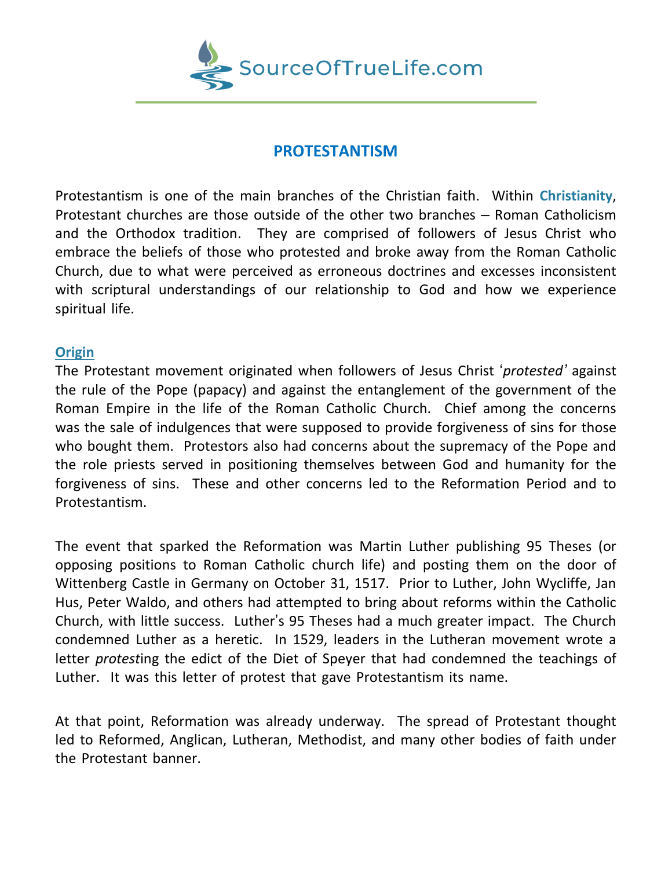

## **PROTESTANTISM**

Protestantism is one of the main branches of the Christian faith. Within **Christianity**, Protestant churches are those outside of the other two branches – Roman Catholicism and the Orthodox tradition. They are comprised of followers of Jesus Christ who embrace the beliefs of those who protested and broke away from the Roman Catholic Church, due to what were perceived as erroneous doctrines and excesses inconsistent with scriptural understandings of our relationship to God and how we experience spiritual life.

## **Origin**

The Protestant movement originated when followers of Jesus Christ '*protested'* against the rule of the Pope (papacy) and against the entanglement of the government of the Roman Empire in the life of the Roman Catholic Church. Chief among the concerns was the sale of indulgences that were supposed to provide forgiveness of sins for those who bought them. Protestors also had concerns about the supremacy of the Pope and the role priests served in positioning themselves between God and humanity for the forgiveness of sins. These and other concerns led to the Reformation Period and to Protestantism.

The event that sparked the Reformation was Martin Luther publishing 95 Theses (or opposing positions to Roman Catholic church life) and posting them on the door of Wittenberg Castle in Germany on October 31, 1517. Prior to Luther, John Wycliffe, Jan Hus, Peter Waldo, and others had attempted to bring about reforms within the Catholic Church, with little success. Luther's 95 Theses had a much greater impact. The Church condemned Luther as a heretic. In 1529, leaders in the Lutheran movement wrote a letter *protest*ing the edict of the Diet of Speyer that had condemned the teachings of Luther. It was this letter of protest that gave Protestantism its name.

At that point, Reformation was already underway. The spread of Protestant thought led to Reformed, Anglican, Lutheran, Methodist, and many other bodies of faith under the Protestant banner.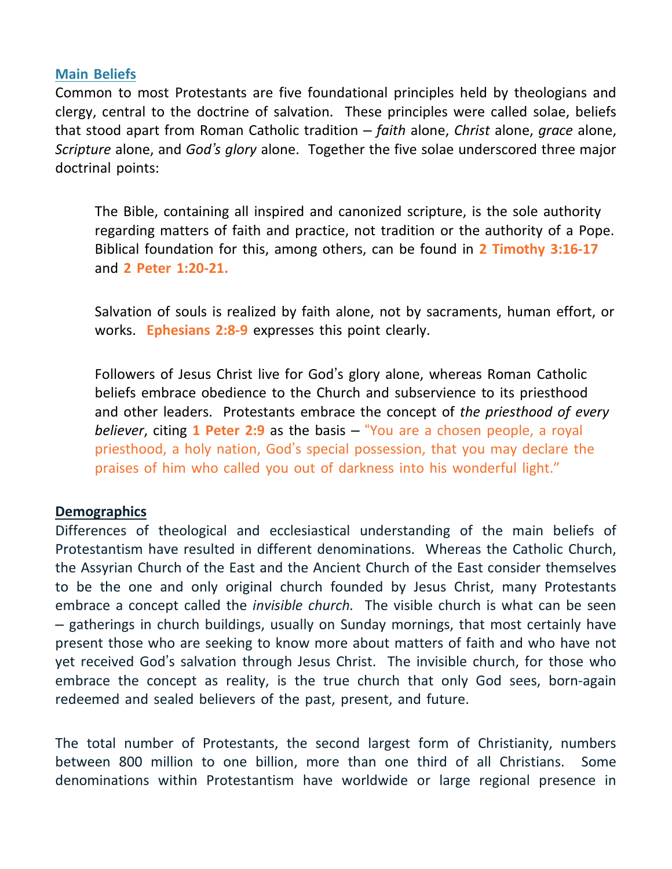## **Main Beliefs**

Common to most Protestants are five foundational principles held by theologians and clergy, central to the doctrine of salvation. These principles were called solae, beliefs that stood apart from Roman Catholic tradition – *faith* alone, *Christ* alone, *grace* alone, *Scripture* alone, and *God's glory* alone. Together the five solae underscored three major doctrinal points:

The Bible, containing all inspired and canonized scripture, is the sole authority regarding matters of faith and practice, not tradition or the authority of a Pope. Biblical foundation for this, among others, can be found in **2 Timothy 3:16-17** and **2 Peter 1:20-21.**

Salvation of souls is realized by faith alone, not by sacraments, human effort, or works. **Ephesians 2:8-9** expresses this point clearly.

Followers of Jesus Christ live for God's glory alone, whereas Roman Catholic beliefs embrace obedience to the Church and subservience to its priesthood and other leaders. Protestants embrace the concept of *the priesthood of every believer*, citing **1 Peter 2:9** as the basis – "You are a chosen people, a royal priesthood, a holy nation, God's special possession, that you may declare the praises of him who called you out of darkness into his wonderful light."

## **Demographics**

Differences of theological and ecclesiastical understanding of the main beliefs of Protestantism have resulted in different denominations. Whereas the Catholic Church, the Assyrian Church of the East and the Ancient Church of the East consider themselves to be the one and only original church founded by Jesus Christ, many Protestants embrace a concept called the *invisible church.* The visible church is what can be seen – gatherings in church buildings, usually on Sunday mornings, that most certainly have present those who are seeking to know more about matters of faith and who have not yet received God's salvation through Jesus Christ. The invisible church, for those who embrace the concept as reality, is the true church that only God sees, born-again redeemed and sealed believers of the past, present, and future.

The total number of Protestants, the second largest form of Christianity, numbers between 800 million to one billion, more than one third of all Christians. Some denominations within Protestantism have worldwide or large regional presence in